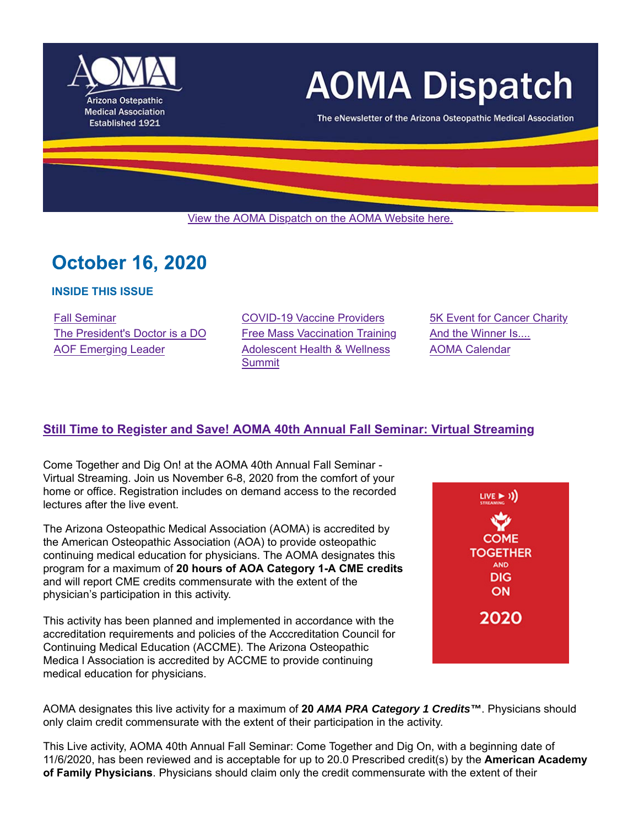

# **AOMA Dispatch**

The eNewsletter of the Arizona Osteopathic Medical Association

View the AOMA Dispatch on the AOMA Website here.

# **October 16, 2020**

#### **INSIDE THIS ISSUE**

Fall Seminar **Example 28 COVID-19 Vaccine Providers** 5K Event for Cancer Charity The President's Doctor is a DO Free Mass Vaccination Training And the Winner Is.... AOF Emerging Leader **Adolescent Health & Wellness Summit** 

AOMA Calendar

# **Still Time to Register and Save! AOMA 40th Annual Fall Seminar: Virtual Streaming**

Come Together and Dig On! at the AOMA 40th Annual Fall Seminar - Virtual Streaming. Join us November 6-8, 2020 from the comfort of your home or office. Registration includes on demand access to the recorded lectures after the live event.

The Arizona Osteopathic Medical Association (AOMA) is accredited by the American Osteopathic Association (AOA) to provide osteopathic continuing medical education for physicians. The AOMA designates this program for a maximum of **20 hours of AOA Category 1-A CME credits** and will report CME credits commensurate with the extent of the physician's participation in this activity.

This activity has been planned and implemented in accordance with the accreditation requirements and policies of the Acccreditation Council for Continuing Medical Education (ACCME). The Arizona Osteopathic Medica l Association is accredited by ACCME to provide continuing medical education for physicians.



AOMA designates this live activity for a maximum of **20** *AMA PRA Category 1 Credits™*. Physicians should only claim credit commensurate with the extent of their participation in the activity.

This Live activity, AOMA 40th Annual Fall Seminar: Come Together and Dig On, with a beginning date of 11/6/2020, has been reviewed and is acceptable for up to 20.0 Prescribed credit(s) by the **American Academy of Family Physicians**. Physicians should claim only the credit commensurate with the extent of their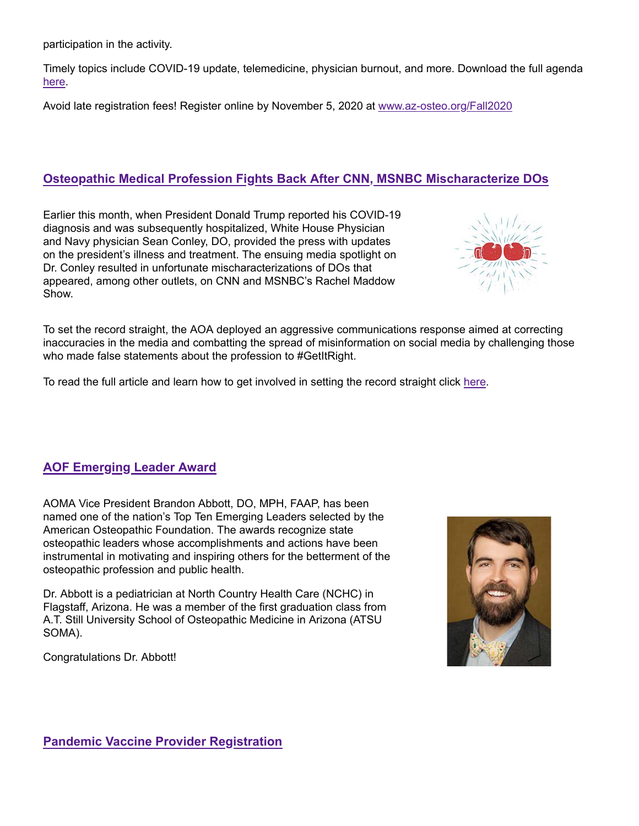participation in the activity.

Timely topics include COVID-19 update, telemedicine, physician burnout, and more. Download the full agenda here.

Avoid late registration fees! Register online by November 5, 2020 at www.az-osteo.org/Fall2020

### **Osteopathic Medical Profession Fights Back After CNN, MSNBC Mischaracterize DOs**

Earlier this month, when President Donald Trump reported his COVID-19 diagnosis and was subsequently hospitalized, White House Physician and Navy physician Sean Conley, DO, provided the press with updates on the president's illness and treatment. The ensuing media spotlight on Dr. Conley resulted in unfortunate mischaracterizations of DOs that appeared, among other outlets, on CNN and MSNBC's Rachel Maddow Show.



To set the record straight, the AOA deployed an aggressive communications response aimed at correcting inaccuracies in the media and combatting the spread of misinformation on social media by challenging those who made false statements about the profession to #GetItRight.

To read the full article and learn how to get involved in setting the record straight click here.

# **AOF Emerging Leader Award**

AOMA Vice President Brandon Abbott, DO, MPH, FAAP, has been named one of the nation's Top Ten Emerging Leaders selected by the American Osteopathic Foundation. The awards recognize state osteopathic leaders whose accomplishments and actions have been instrumental in motivating and inspiring others for the betterment of the osteopathic profession and public health.

Dr. Abbott is a pediatrician at North Country Health Care (NCHC) in Flagstaff, Arizona. He was a member of the first graduation class from A.T. Still University School of Osteopathic Medicine in Arizona (ATSU SOMA).

Congratulations Dr. Abbott!

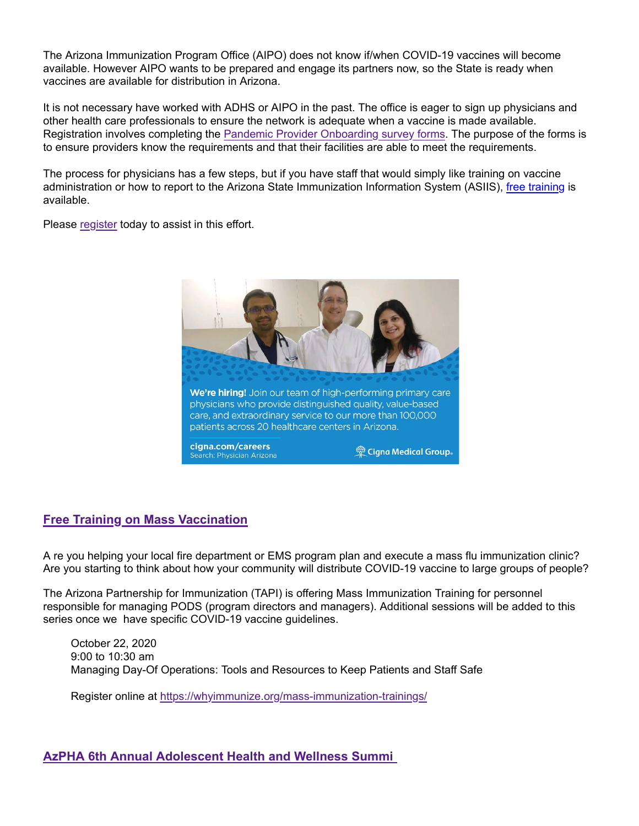The Arizona Immunization Program Office (AIPO) does not know if/when COVID-19 vaccines will become available. However AIPO wants to be prepared and engage its partners now, so the State is ready when vaccines are available for distribution in Arizona.

It is not necessary have worked with ADHS or AIPO in the past. The office is eager to sign up physicians and other health care professionals to ensure the network is adequate when a vaccine is made available. Registration involves completing the Pandemic Provider Onboarding survey forms. The purpose of the forms is to ensure providers know the requirements and that their facilities are able to meet the requirements.

The process for physicians has a few steps, but if you have staff that would simply like training on vaccine administration or how to report to the Arizona State Immunization Information System (ASIIS), free training is available.

Please register today to assist in this effort.



#### **Free Training on Mass Vaccination**

A re you helping your local fire department or EMS program plan and execute a mass flu immunization clinic? Are you starting to think about how your community will distribute COVID-19 vaccine to large groups of people?

The Arizona Partnership for Immunization (TAPI) is offering Mass Immunization Training for personnel responsible for managing PODS (program directors and managers). Additional sessions will be added to this series once we have specific COVID-19 vaccine guidelines.

October 22, 2020 9:00 to 10:30 am Managing Day-Of Operations: Tools and Resources to Keep Patients and Staff Safe

Register online at https://whyimmunize.org/mass-immunization-trainings/

#### **AzPHA 6th Annual Adolescent Health and Wellness Summi**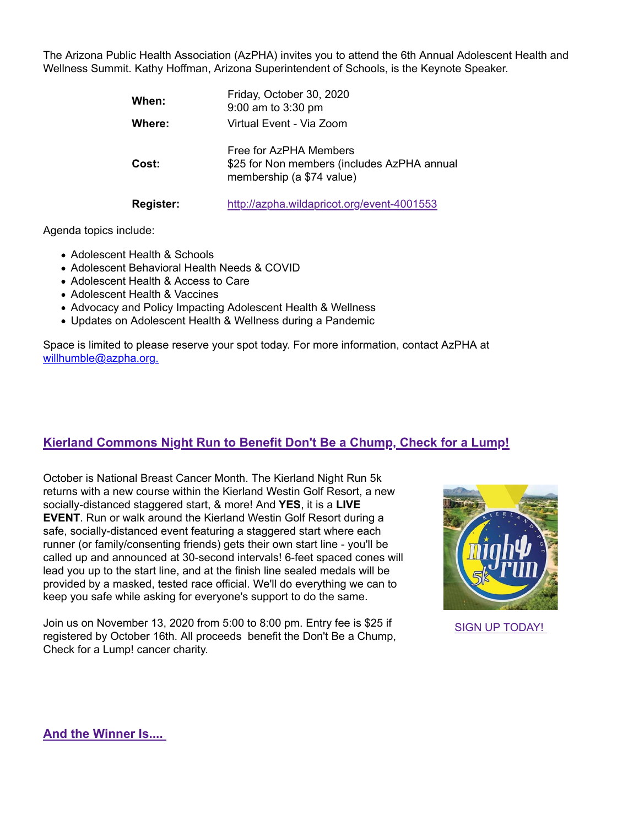The Arizona Public Health Association (AzPHA) invites you to attend the 6th Annual Adolescent Health and Wellness Summit. Kathy Hoffman, Arizona Superintendent of Schools, is the Keynote Speaker.

| When:            | Friday, October 30, 2020<br>9:00 am to 3:30 pm                                                     |
|------------------|----------------------------------------------------------------------------------------------------|
| Where:           | Virtual Event - Via Zoom                                                                           |
| Cost:            | Free for AzPHA Members<br>\$25 for Non members (includes AzPHA annual<br>membership (a \$74 value) |
| <b>Register:</b> | http://azpha.wildapricot.org/event-4001553                                                         |

Agenda topics include:

- Adolescent Health & Schools
- Adolescent Behavioral Health Needs & COVID
- Adolescent Health & Access to Care
- Adolescent Health & Vaccines
- Advocacy and Policy Impacting Adolescent Health & Wellness
- Updates on Adolescent Health & Wellness during a Pandemic

Space is limited to please reserve your spot today. For more information, contact AzPHA at willhumble@azpha.org.

# **Kierland Commons Night Run to Benefit Don't Be a Chump, Check for a Lump!**

October is National Breast Cancer Month. The Kierland Night Run 5k returns with a new course within the Kierland Westin Golf Resort, a new socially-distanced staggered start, & more! And **YES**, it is a **LIVE EVENT**. Run or walk around the Kierland Westin Golf Resort during a safe, socially-distanced event featuring a staggered start where each runner (or family/consenting friends) gets their own start line - you'll be called up and announced at 30-second intervals! 6-feet spaced cones will lead you up to the start line, and at the finish line sealed medals will be provided by a masked, tested race official. We'll do everything we can to keep you safe while asking for everyone's support to do the same.

Join us on November 13, 2020 from 5:00 to 8:00 pm. Entry fee is \$25 if registered by October 16th. All proceeds benefit the Don't Be a Chump, Check for a Lump! cancer charity.



SIGN UP TODAY!

**And the Winner Is....**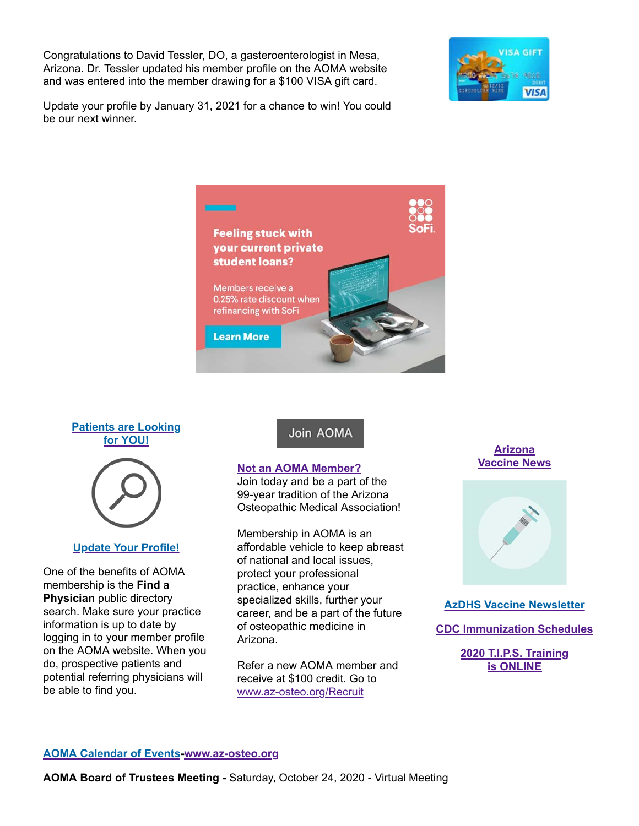Congratulations to David Tessler, DO, a gasteroenterologist in Mesa, Arizona. Dr. Tessler updated his member profile on the AOMA website and was entered into the member drawing for a \$100 VISA gift card.



Update your profile by January 31, 2021 for a chance to win! You could be our next winner.



#### **Patients are Looking for YOU!**



#### **Update Your Profile!**

One of the benefits of AOMA membership is the **Find a Physician** public directory search. Make sure your practice information is up to date by logging in to your member profile on the AOMA website. When you do, prospective patients and potential referring physicians will be able to find you.

Join AOMA

#### **Not an AOMA Member?**

Join today and be a part of the 99-year tradition of the Arizona Osteopathic Medical Association!

Membership in AOMA is an affordable vehicle to keep abreast of national and local issues, protect your professional practice, enhance your specialized skills, further your career, and be a part of the future of osteopathic medicine in Arizona.

Refer a new AOMA member and receive at \$100 credit. Go to www.az-osteo.org/Recruit

**Arizona Vaccine News**



**AzDHS Vaccine Newsletter**

**CDC Immunization Schedules**

**2020 T.I.P.S. Training is ONLINE**

#### **AOMA Calendar of Events-www.az-osteo.org**